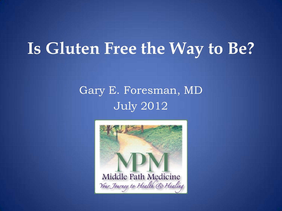### **Is Gluten Free the Way to Be?**

### Gary E. Foresman, MD July 2012

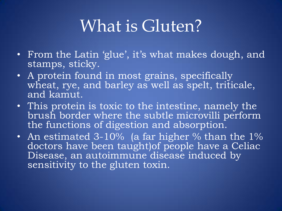## What is Gluten?

- From the Latin 'glue', it's what makes dough, and stamps, sticky.
- A protein found in most grains, specifically wheat, rye, and barley as well as spelt, triticale, and kamut.
- This protein is toxic to the intestine, namely the brush border where the subtle microvilli perform the functions of digestion and absorption.
- An estimated 3-10% (a far higher % than the  $1\%$ doctors have been taught)of people have a Celiac Disease, an autoimmune disease induced by sensitivity to the gluten toxin.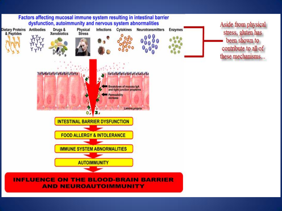

**AND NEUROAUTOIMMUNITY**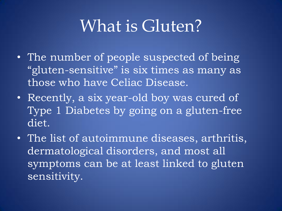### What is Gluten?

- The number of people suspected of being "gluten-sensitive" is six times as many as those who have Celiac Disease.
- Recently, a six year-old boy was cured of Type 1 Diabetes by going on a gluten-free diet.
- The list of autoimmune diseases, arthritis, dermatological disorders, and most all symptoms can be at least linked to gluten sensitivity.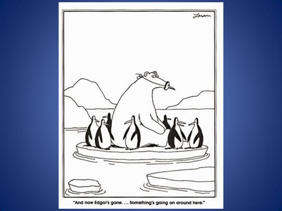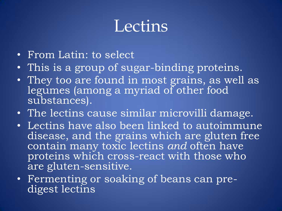### **Lectins**

- From Latin: to select
- This is a group of sugar-binding proteins.
- They too are found in most grains, as well as legumes (among a myriad of other food substances).
- The lectins cause similar microvilli damage.
- Lectins have also been linked to autoimmune disease, and the grains which are gluten free contain many toxic lectins *and* often have proteins which cross-react with those who are gluten-sensitive.
- Fermenting or soaking of beans can predigest lectins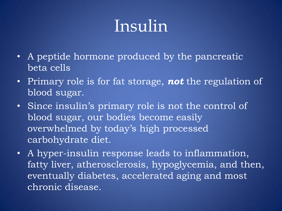# Insulin

- A peptide hormone produced by the pancreatic beta cells
- Primary role is for fat storage, *not* the regulation of blood sugar.
- Since insulin's primary role is not the control of blood sugar, our bodies become easily overwhelmed by today's high processed carbohydrate diet.
- A hyper-insulin response leads to inflammation, fatty liver, atherosclerosis, hypoglycemia, and then, eventually diabetes, accelerated aging and most chronic disease.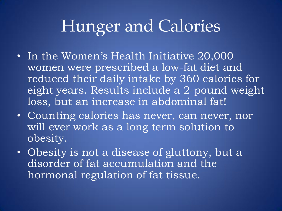# Hunger and Calories

- In the Women's Health Initiative 20,000 women were prescribed a low-fat diet and reduced their daily intake by 360 calories for eight years. Results include a 2-pound weight loss, but an increase in abdominal fat!
- Counting calories has never, can never, nor will ever work as a long term solution to obesity.
- Obesity is not a disease of gluttony, but a disorder of fat accumulation and the hormonal regulation of fat tissue.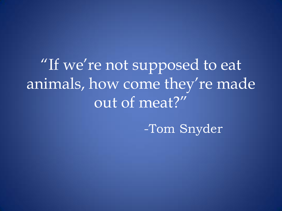"If we're not supposed to eat animals, how come they're made out of meat?"

-Tom Snyder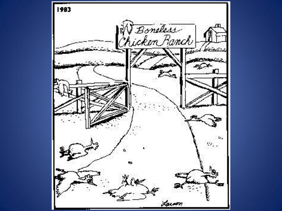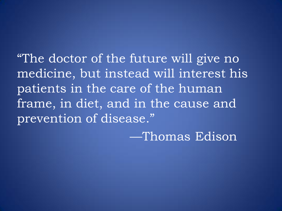"The doctor of the future will give no medicine, but instead will interest his patients in the care of the human frame, in diet, and in the cause and prevention of disease."

—Thomas Edison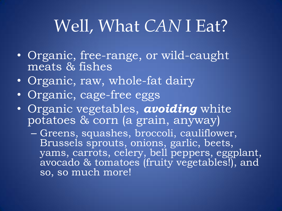# Well, What *CAN* I Eat?

- Organic, free-range, or wild-caught meats & fishes
- Organic, raw, whole-fat dairy
- Organic, cage-free eggs
- Organic vegetables, *avoiding* white potatoes & corn (a grain, anyway)
	- Greens, squashes, broccoli, cauliflower, Brussels sprouts, onions, garlic, beets, yams, carrots, celery, bell peppers, eggplant, avocado & tomatoes (fruity vegetables!), and so, so much more!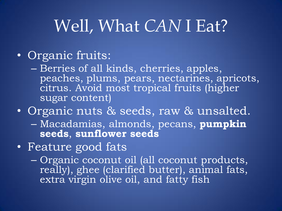# Well, What *CAN* I Eat?

### • Organic fruits:

- Berries of all kinds, cherries, apples, peaches, plums, pears, nectarines, apricots, citrus. Avoid most tropical fruits (higher sugar content)
- Organic nuts & seeds, raw & unsalted. – Macadamias, almonds, pecans, **pumpkin seeds**, **sunflower seeds**
- Feature good fats
	- Organic coconut oil (all coconut products, really), ghee (clarified butter), animal fats, extra virgin olive oil, and fatty fish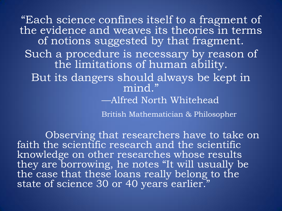"Each science confines itself to a fragment of the evidence and weaves its theories in terms of notions suggested by that fragment. Such a procedure is necessary by reason of the limitations of human ability. But its dangers should always be kept in mind." —Alfred North Whitehead

British Mathematician & Philosopher

Observing that researchers have to take on faith the scientific research and the scientific knowledge on other researches whose results they are borrowing, he notes "It will usually be the case that these loans really belong to the state of science 30 or 40 years earlier."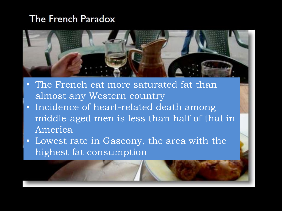#### The French Paradox



- The French eat more saturated fat than almost any Western country
- Incidence of heart-related death among middle-aged men is less than half of that in America
- Lowest rate in Gascony, the area with the highest fat consumption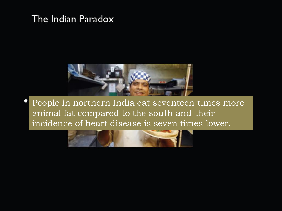#### The Indian Paradox



People in northern India eat seventeen times more animal fat compared to the south and their incidence of heart disease is seven times lower.

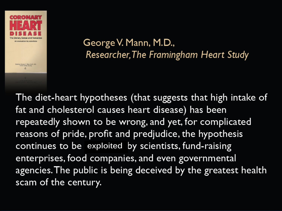

Eclied by Doorge V. Mann, Sc.D., M.D.<br>for the Verilian Slocialy

George V. Mann, M.D., Researcher, The Framingham Heart Study

The diet-heart hypotheses (that suggests that high intake of fat and cholesterol causes heart disease) has been repeatedly shown to be wrong, and yet, for complicated reasons of pride, profit and predjudice, the hypothesis continues to be exploited by scientists, fund-raising enterprises, food companies, and even governmental agencies. The public is being deceived by the greatest health scam of the century.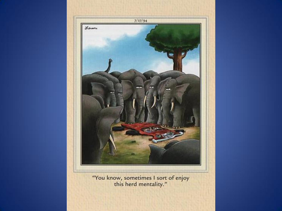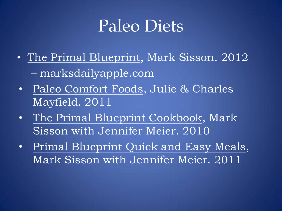### Paleo Diets

- The Primal Blueprint, Mark Sisson. 2012 – marksdailyapple.com
- Paleo Comfort Foods, Julie & Charles Mayfield. 2011
- The Primal Blueprint Cookbook, Mark Sisson with Jennifer Meier. 2010
- Primal Blueprint Quick and Easy Meals, Mark Sisson with Jennifer Meier. 2011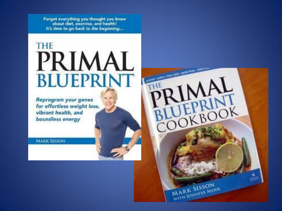Forget everything you thought you knew about diet, exercise, and health! It's time to go back to the beginning...

### **THE** PRIMAL **BLUEPRINT**

 $BOC$ 

**MARK SISSON** WITH RSNIFER MEER

Reprogram your genes for effortless weight loss, vibrant health, and boundless energy

**MARK SISSON**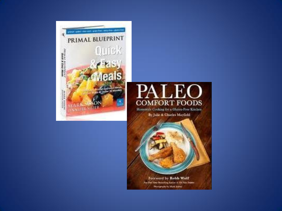



Homestyle Cooking for a Gluten-Free Kitchen By Julie & Charles Mayfield



for 100 Year Insulting Award of The Countries **Phoneyraphy by Mark Newsis**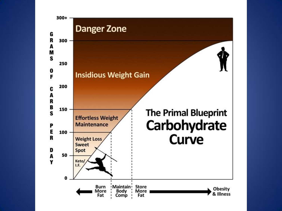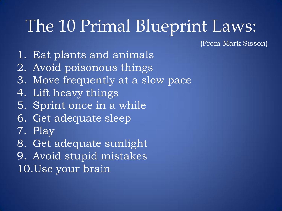## The 10 Primal Blueprint Laws:

(From Mark Sisson)

- 1. Eat plants and animals
- 2. Avoid poisonous things
- 3. Move frequently at a slow pace
- 4. Lift heavy things
- 5. Sprint once in a while
- 6. Get adequate sleep
- 7. Play
- 8. Get adequate sunlight
- 9. Avoid stupid mistakes 10.Use your brain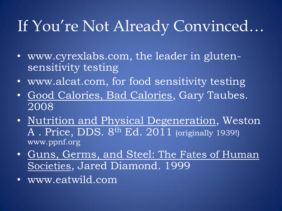### If You're Not Already Convinced…

- www.cyrexlabs.com, the leader in glutensensitivity testing
- www.alcat.com, for food sensitivity testing
- Good Calories, Bad Calories, Gary Taubes. 2008
- Nutrition and Physical Degeneration, Weston A . Price, DDS. 8th Ed. 2011 (originally 1939!) www.ppnf.org
- Guns, Germs, and Steel: The Fates of Human Societies, Jared Diamond. 1999
- www.eatwild.com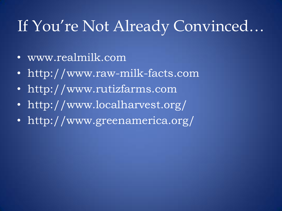### If You're Not Already Convinced…

- www.realmilk.com
- http://www.raw-milk-facts.com
- http://www.rutizfarms.com
- http://www.localharvest.org/
- http://www.greenamerica.org/